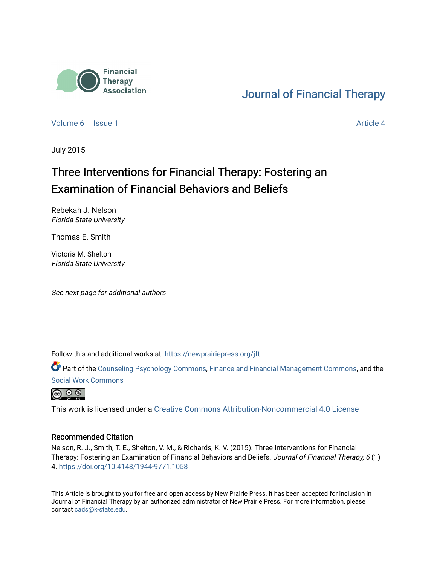

# [Journal of Financial Therapy](https://newprairiepress.org/jft)

[Volume 6](https://newprairiepress.org/jft/vol6) | [Issue 1](https://newprairiepress.org/jft/vol6/iss1) Article 4

July 2015

# Three Interventions for Financial Therapy: Fostering an Examination of Financial Behaviors and Beliefs

Rebekah J. Nelson Florida State University

Thomas E. Smith

Victoria M. Shelton Florida State University

See next page for additional authors

Follow this and additional works at: [https://newprairiepress.org/jft](https://newprairiepress.org/jft?utm_source=newprairiepress.org%2Fjft%2Fvol6%2Fiss1%2F4&utm_medium=PDF&utm_campaign=PDFCoverPages)

Part of the [Counseling Psychology Commons](http://network.bepress.com/hgg/discipline/1044?utm_source=newprairiepress.org%2Fjft%2Fvol6%2Fiss1%2F4&utm_medium=PDF&utm_campaign=PDFCoverPages), [Finance and Financial Management Commons,](http://network.bepress.com/hgg/discipline/631?utm_source=newprairiepress.org%2Fjft%2Fvol6%2Fiss1%2F4&utm_medium=PDF&utm_campaign=PDFCoverPages) and the [Social Work Commons](http://network.bepress.com/hgg/discipline/713?utm_source=newprairiepress.org%2Fjft%2Fvol6%2Fiss1%2F4&utm_medium=PDF&utm_campaign=PDFCoverPages)



This work is licensed under a [Creative Commons Attribution-Noncommercial 4.0 License](https://creativecommons.org/licenses/by-nc/4.0/)

#### Recommended Citation

Nelson, R. J., Smith, T. E., Shelton, V. M., & Richards, K. V. (2015). Three Interventions for Financial Therapy: Fostering an Examination of Financial Behaviors and Beliefs. Journal of Financial Therapy, 6 (1) 4. <https://doi.org/10.4148/1944-9771.1058>

This Article is brought to you for free and open access by New Prairie Press. It has been accepted for inclusion in Journal of Financial Therapy by an authorized administrator of New Prairie Press. For more information, please contact [cads@k-state.edu](mailto:cads@k-state.edu).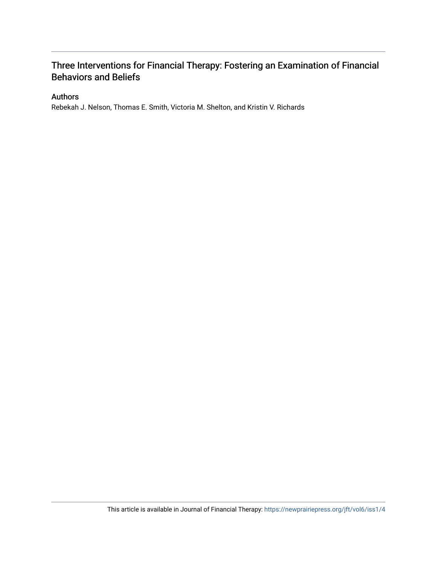#### Authors

Rebekah J. Nelson, Thomas E. Smith, Victoria M. Shelton, and Kristin V. Richards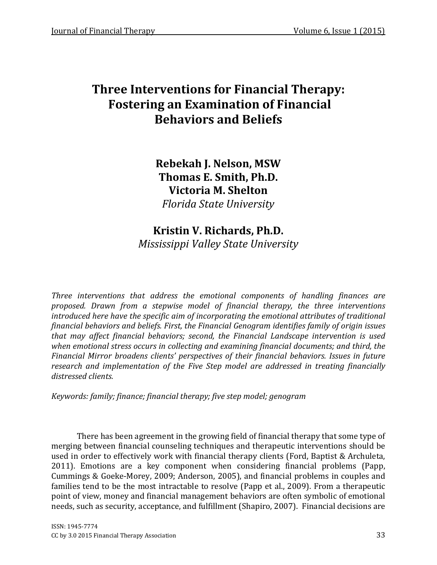Rebekah J. Nelson, MSW Thomas E. Smith, Ph.D. Victoria M. Shelton Florida State University

## Kristin V. Richards, Ph.D. Mississippi Valley State University

Three interventions that address the emotional components of handling finances are proposed. Drawn from a stepwise model of financial therapy, the three interventions introduced here have the specific aim of incorporating the emotional attributes of traditional financial behaviors and beliefs. First, the Financial Genogram identifies family of origin issues that may affect financial behaviors; second, the Financial Landscape intervention is used when emotional stress occurs in collecting and examining financial documents; and third, the Financial Mirror broadens clients' perspectives of their financial behaviors. Issues in future research and implementation of the Five Step model are addressed in treating financially distressed clients.

Keywords: family; finance; financial therapy; five step model; genogram

There has been agreement in the growing field of financial therapy that some type of merging between financial counseling techniques and therapeutic interventions should be used in order to effectively work with financial therapy clients (Ford, Baptist & Archuleta, 2011). Emotions are a key component when considering financial problems (Papp, Cummings & Goeke-Morey, 2009; Anderson, 2005), and financial problems in couples and families tend to be the most intractable to resolve (Papp et al., 2009). From a therapeutic point of view, money and financial management behaviors are often symbolic of emotional needs, such as security, acceptance, and fulfillment (Shapiro, 2007). Financial decisions are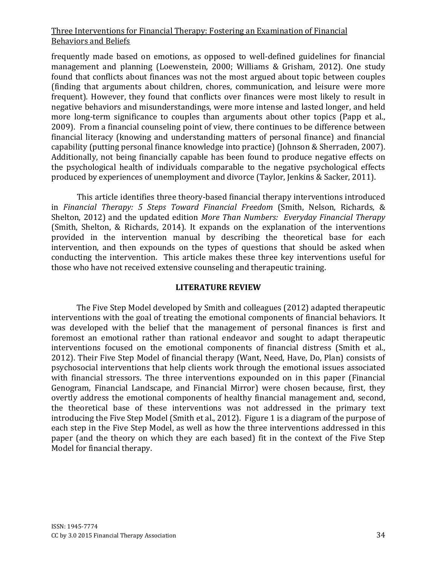frequently made based on emotions, as opposed to well-defined guidelines for financial management and planning (Loewenstein, 2000; Williams & Grisham, 2012). One study found that conflicts about finances was not the most argued about topic between couples (finding that arguments about children, chores, communication, and leisure were more frequent). However, they found that conflicts over finances were most likely to result in negative behaviors and misunderstandings, were more intense and lasted longer, and held more long-term significance to couples than arguments about other topics (Papp et al., 2009). From a financial counseling point of view, there continues to be difference between financial literacy (knowing and understanding matters of personal finance) and financial capability (putting personal finance knowledge into practice) (Johnson & Sherraden, 2007). Additionally, not being financially capable has been found to produce negative effects on the psychological health of individuals comparable to the negative psychological effects produced by experiences of unemployment and divorce (Taylor, Jenkins & Sacker, 2011).

This article identifies three theory-based financial therapy interventions introduced in Financial Therapy: 5 Steps Toward Financial Freedom (Smith, Nelson, Richards, & Shelton, 2012) and the updated edition More Than Numbers: Everyday Financial Therapy (Smith, Shelton, & Richards, 2014). It expands on the explanation of the interventions provided in the intervention manual by describing the theoretical base for each intervention, and then expounds on the types of questions that should be asked when conducting the intervention. This article makes these three key interventions useful for those who have not received extensive counseling and therapeutic training.

## LITERATURE REVIEW

The Five Step Model developed by Smith and colleagues (2012) adapted therapeutic interventions with the goal of treating the emotional components of financial behaviors. It was developed with the belief that the management of personal finances is first and foremost an emotional rather than rational endeavor and sought to adapt therapeutic interventions focused on the emotional components of financial distress (Smith et al., 2012). Their Five Step Model of financial therapy (Want, Need, Have, Do, Plan) consists of psychosocial interventions that help clients work through the emotional issues associated with financial stressors. The three interventions expounded on in this paper (Financial Genogram, Financial Landscape, and Financial Mirror) were chosen because, first, they overtly address the emotional components of healthy financial management and, second, the theoretical base of these interventions was not addressed in the primary text introducing the Five Step Model (Smith et al., 2012). Figure 1 is a diagram of the purpose of each step in the Five Step Model, as well as how the three interventions addressed in this paper (and the theory on which they are each based) fit in the context of the Five Step Model for financial therapy.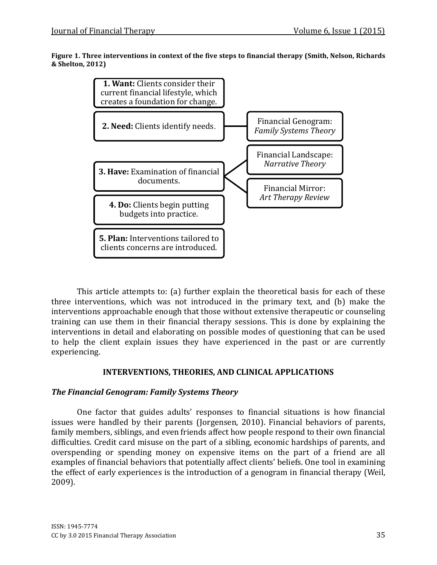#### Figure 1. Three interventions in context of the five steps to financial therapy (Smith, Nelson, Richards & Shelton, 2012)



This article attempts to: (a) further explain the theoretical basis for each of these three interventions, which was not introduced in the primary text, and (b) make the interventions approachable enough that those without extensive therapeutic or counseling training can use them in their financial therapy sessions. This is done by explaining the interventions in detail and elaborating on possible modes of questioning that can be used to help the client explain issues they have experienced in the past or are currently experiencing.

## INTERVENTIONS, THEORIES, AND CLINICAL APPLICATIONS

## The Financial Genogram: Family Systems Theory

One factor that guides adults' responses to financial situations is how financial issues were handled by their parents (Jorgensen, 2010). Financial behaviors of parents, family members, siblings, and even friends affect how people respond to their own financial difficulties. Credit card misuse on the part of a sibling, economic hardships of parents, and overspending or spending money on expensive items on the part of a friend are all examples of financial behaviors that potentially affect clients' beliefs. One tool in examining the effect of early experiences is the introduction of a genogram in financial therapy (Weil, 2009).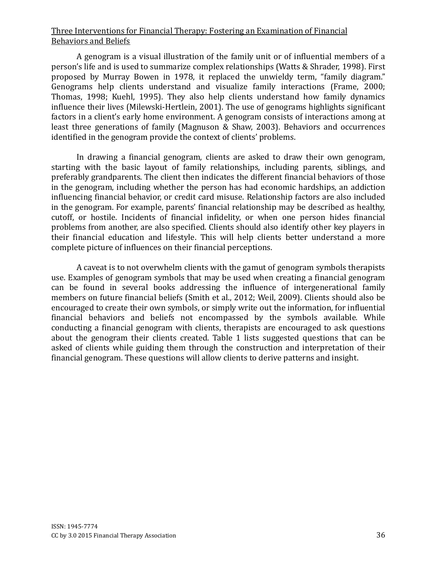A genogram is a visual illustration of the family unit or of influential members of a person's life and is used to summarize complex relationships (Watts & Shrader, 1998). First proposed by Murray Bowen in 1978, it replaced the unwieldy term, "family diagram." Genograms help clients understand and visualize family interactions (Frame, 2000; Thomas, 1998; Kuehl, 1995). They also help clients understand how family dynamics influence their lives (Milewski-Hertlein, 2001). The use of genograms highlights significant factors in a client's early home environment. A genogram consists of interactions among at least three generations of family (Magnuson & Shaw, 2003). Behaviors and occurrences identified in the genogram provide the context of clients' problems.

In drawing a financial genogram, clients are asked to draw their own genogram, starting with the basic layout of family relationships, including parents, siblings, and preferably grandparents. The client then indicates the different financial behaviors of those in the genogram, including whether the person has had economic hardships, an addiction influencing financial behavior, or credit card misuse. Relationship factors are also included in the genogram. For example, parents' financial relationship may be described as healthy, cutoff, or hostile. Incidents of financial infidelity, or when one person hides financial problems from another, are also specified. Clients should also identify other key players in their financial education and lifestyle. This will help clients better understand a more complete picture of influences on their financial perceptions.

A caveat is to not overwhelm clients with the gamut of genogram symbols therapists use. Examples of genogram symbols that may be used when creating a financial genogram can be found in several books addressing the influence of intergenerational family members on future financial beliefs (Smith et al., 2012; Weil, 2009). Clients should also be encouraged to create their own symbols, or simply write out the information, for influential financial behaviors and beliefs not encompassed by the symbols available. While conducting a financial genogram with clients, therapists are encouraged to ask questions about the genogram their clients created. Table 1 lists suggested questions that can be asked of clients while guiding them through the construction and interpretation of their financial genogram. These questions will allow clients to derive patterns and insight.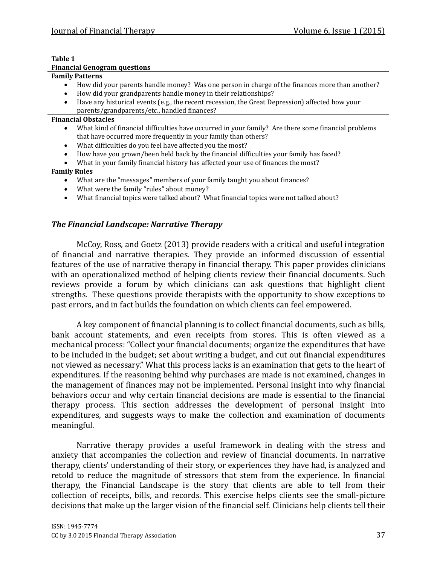#### Table 1

|  | <b>Financial Genogram questions</b> |  |
|--|-------------------------------------|--|
|--|-------------------------------------|--|

#### Family Patterns

- How did your parents handle money? Was one person in charge of the finances more than another?
- How did your grandparents handle money in their relationships?
- Have any historical events (e.g., the recent recession, the Great Depression) affected how your parents/grandparents/etc., handled finances?

#### Financial Obstacles

- What kind of financial difficulties have occurred in your family? Are there some financial problems that have occurred more frequently in your family than others?
- What difficulties do you feel have affected you the most?
- How have you grown/been held back by the financial difficulties your family has faced?

#### • What in your family financial history has affected your use of finances the most?

#### Family Rules

- What are the "messages" members of your family taught you about finances?
- What were the family "rules" about money?
- What financial topics were talked about? What financial topics were not talked about?

## The Financial Landscape: Narrative Therapy

McCoy, Ross, and Goetz (2013) provide readers with a critical and useful integration of financial and narrative therapies. They provide an informed discussion of essential features of the use of narrative therapy in financial therapy. This paper provides clinicians with an operationalized method of helping clients review their financial documents. Such reviews provide a forum by which clinicians can ask questions that highlight client strengths. These questions provide therapists with the opportunity to show exceptions to past errors, and in fact builds the foundation on which clients can feel empowered.

A key component of financial planning is to collect financial documents, such as bills, bank account statements, and even receipts from stores. This is often viewed as a mechanical process: "Collect your financial documents; organize the expenditures that have to be included in the budget; set about writing a budget, and cut out financial expenditures not viewed as necessary." What this process lacks is an examination that gets to the heart of expenditures. If the reasoning behind why purchases are made is not examined, changes in the management of finances may not be implemented. Personal insight into why financial behaviors occur and why certain financial decisions are made is essential to the financial therapy process. This section addresses the development of personal insight into expenditures, and suggests ways to make the collection and examination of documents meaningful.

Narrative therapy provides a useful framework in dealing with the stress and anxiety that accompanies the collection and review of financial documents. In narrative therapy, clients' understanding of their story, or experiences they have had, is analyzed and retold to reduce the magnitude of stressors that stem from the experience. In financial therapy, the Financial Landscape is the story that clients are able to tell from their collection of receipts, bills, and records. This exercise helps clients see the small-picture decisions that make up the larger vision of the financial self. Clinicians help clients tell their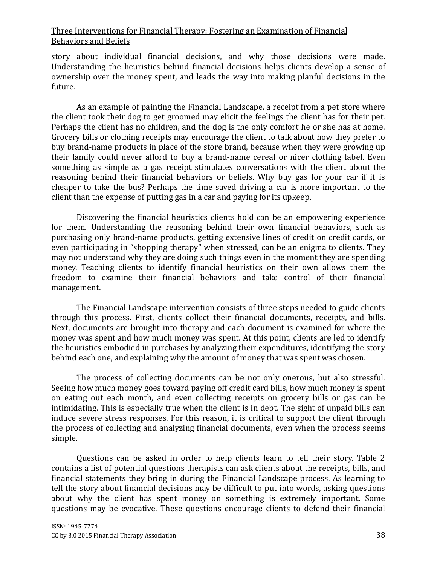story about individual financial decisions, and why those decisions were made. Understanding the heuristics behind financial decisions helps clients develop a sense of ownership over the money spent, and leads the way into making planful decisions in the future.

As an example of painting the Financial Landscape, a receipt from a pet store where the client took their dog to get groomed may elicit the feelings the client has for their pet. Perhaps the client has no children, and the dog is the only comfort he or she has at home. Grocery bills or clothing receipts may encourage the client to talk about how they prefer to buy brand-name products in place of the store brand, because when they were growing up their family could never afford to buy a brand-name cereal or nicer clothing label. Even something as simple as a gas receipt stimulates conversations with the client about the reasoning behind their financial behaviors or beliefs. Why buy gas for your car if it is cheaper to take the bus? Perhaps the time saved driving a car is more important to the client than the expense of putting gas in a car and paying for its upkeep.

Discovering the financial heuristics clients hold can be an empowering experience for them. Understanding the reasoning behind their own financial behaviors, such as purchasing only brand-name products, getting extensive lines of credit on credit cards, or even participating in "shopping therapy" when stressed, can be an enigma to clients. They may not understand why they are doing such things even in the moment they are spending money. Teaching clients to identify financial heuristics on their own allows them the freedom to examine their financial behaviors and take control of their financial management.

The Financial Landscape intervention consists of three steps needed to guide clients through this process. First, clients collect their financial documents, receipts, and bills. Next, documents are brought into therapy and each document is examined for where the money was spent and how much money was spent. At this point, clients are led to identify the heuristics embodied in purchases by analyzing their expenditures, identifying the story behind each one, and explaining why the amount of money that was spent was chosen.

The process of collecting documents can be not only onerous, but also stressful. Seeing how much money goes toward paying off credit card bills, how much money is spent on eating out each month, and even collecting receipts on grocery bills or gas can be intimidating. This is especially true when the client is in debt. The sight of unpaid bills can induce severe stress responses. For this reason, it is critical to support the client through the process of collecting and analyzing financial documents, even when the process seems simple.

Questions can be asked in order to help clients learn to tell their story. Table 2 contains a list of potential questions therapists can ask clients about the receipts, bills, and financial statements they bring in during the Financial Landscape process. As learning to tell the story about financial decisions may be difficult to put into words, asking questions about why the client has spent money on something is extremely important. Some questions may be evocative. These questions encourage clients to defend their financial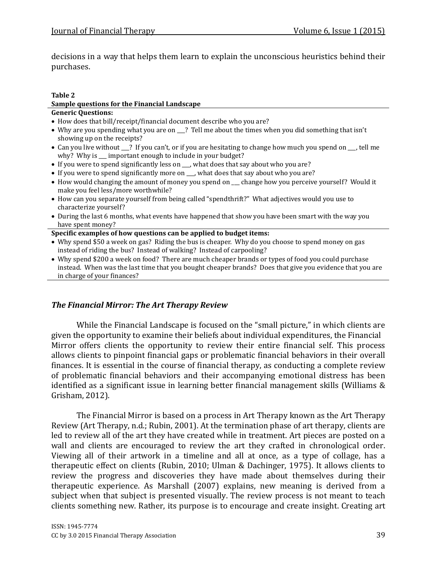decisions in a way that helps them learn to explain the unconscious heuristics behind their purchases.

#### Table 2

## Sample questions for the Financial Landscape

## Generic Questions:

- How does that bill/receipt/financial document describe who you are?
- Why are you spending what you are on 1? Tell me about the times when you did something that isn't showing up on the receipts?
- Can you live without \_\_\_? If you can't, or if you are hesitating to change how much you spend on \_\_\_, tell me why? Why is \_\_\_ important enough to include in your budget?
- If you were to spend significantly less on \_\_\_, what does that say about who you are?
- If you were to spend significantly more on \_\_\_, what does that say about who you are?
- How would changing the amount of money you spend on change how you perceive yourself? Would it make you feel less/more worthwhile?
- How can you separate yourself from being called "spendthrift?" What adjectives would you use to characterize yourself?
- During the last 6 months, what events have happened that show you have been smart with the way you have spent money?

#### Specific examples of how questions can be applied to budget items:

- Why spend \$50 a week on gas? Riding the bus is cheaper. Why do you choose to spend money on gas instead of riding the bus? Instead of walking? Instead of carpooling?
- Why spend \$200 a week on food? There are much cheaper brands or types of food you could purchase instead. When was the last time that you bought cheaper brands? Does that give you evidence that you are in charge of your finances?

## The Financial Mirror: The Art Therapy Review

While the Financial Landscape is focused on the "small picture," in which clients are given the opportunity to examine their beliefs about individual expenditures, the Financial Mirror offers clients the opportunity to review their entire financial self. This process allows clients to pinpoint financial gaps or problematic financial behaviors in their overall finances. It is essential in the course of financial therapy, as conducting a complete review of problematic financial behaviors and their accompanying emotional distress has been identified as a significant issue in learning better financial management skills (Williams & Grisham, 2012).

The Financial Mirror is based on a process in Art Therapy known as the Art Therapy Review (Art Therapy, n.d.; Rubin, 2001). At the termination phase of art therapy, clients are led to review all of the art they have created while in treatment. Art pieces are posted on a wall and clients are encouraged to review the art they crafted in chronological order. Viewing all of their artwork in a timeline and all at once, as a type of collage, has a therapeutic effect on clients (Rubin, 2010; Ulman & Dachinger, 1975). It allows clients to review the progress and discoveries they have made about themselves during their therapeutic experience. As Marshall (2007) explains, new meaning is derived from a subject when that subject is presented visually. The review process is not meant to teach clients something new. Rather, its purpose is to encourage and create insight. Creating art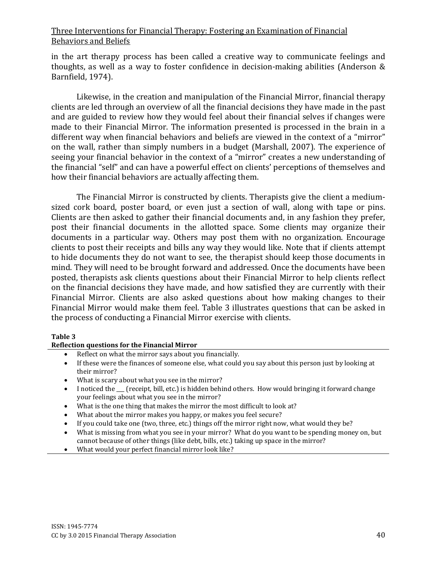in the art therapy process has been called a creative way to communicate feelings and thoughts, as well as a way to foster confidence in decision-making abilities (Anderson & Barnfield, 1974).

Likewise, in the creation and manipulation of the Financial Mirror, financial therapy clients are led through an overview of all the financial decisions they have made in the past and are guided to review how they would feel about their financial selves if changes were made to their Financial Mirror. The information presented is processed in the brain in a different way when financial behaviors and beliefs are viewed in the context of a "mirror" on the wall, rather than simply numbers in a budget (Marshall, 2007). The experience of seeing your financial behavior in the context of a "mirror" creates a new understanding of the financial "self" and can have a powerful effect on clients' perceptions of themselves and how their financial behaviors are actually affecting them.

The Financial Mirror is constructed by clients. Therapists give the client a mediumsized cork board, poster board, or even just a section of wall, along with tape or pins. Clients are then asked to gather their financial documents and, in any fashion they prefer, post their financial documents in the allotted space. Some clients may organize their documents in a particular way. Others may post them with no organization. Encourage clients to post their receipts and bills any way they would like. Note that if clients attempt to hide documents they do not want to see, the therapist should keep those documents in mind. They will need to be brought forward and addressed. Once the documents have been posted, therapists ask clients questions about their Financial Mirror to help clients reflect on the financial decisions they have made, and how satisfied they are currently with their Financial Mirror. Clients are also asked questions about how making changes to their Financial Mirror would make them feel. Table 3 illustrates questions that can be asked in the process of conducting a Financial Mirror exercise with clients.

#### Table 3

#### Reflection questions for the Financial Mirror

- Reflect on what the mirror says about you financially.
- If these were the finances of someone else, what could you say about this person just by looking at their mirror?
- What is scary about what you see in the mirror?
- I noticed the  $\Gamma$  (receipt, bill, etc.) is hidden behind others. How would bringing it forward change your feelings about what you see in the mirror?
- What is the one thing that makes the mirror the most difficult to look at?
- What about the mirror makes you happy, or makes you feel secure?
- If you could take one (two, three, etc.) things off the mirror right now, what would they be?
- What is missing from what you see in your mirror? What do you want to be spending money on, but cannot because of other things (like debt, bills, etc.) taking up space in the mirror?
- What would your perfect financial mirror look like?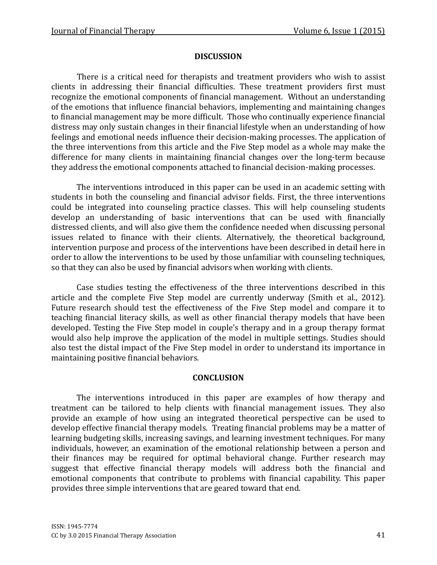## DISCUSSION

 There is a critical need for therapists and treatment providers who wish to assist clients in addressing their financial difficulties. These treatment providers first must recognize the emotional components of financial management. Without an understanding of the emotions that influence financial behaviors, implementing and maintaining changes to financial management may be more difficult. Those who continually experience financial distress may only sustain changes in their financial lifestyle when an understanding of how feelings and emotional needs influence their decision-making processes. The application of the three interventions from this article and the Five Step model as a whole may make the difference for many clients in maintaining financial changes over the long-term because they address the emotional components attached to financial decision-making processes.

The interventions introduced in this paper can be used in an academic setting with students in both the counseling and financial advisor fields. First, the three interventions could be integrated into counseling practice classes. This will help counseling students develop an understanding of basic interventions that can be used with financially distressed clients, and will also give them the confidence needed when discussing personal issues related to finance with their clients. Alternatively, the theoretical background, intervention purpose and process of the interventions have been described in detail here in order to allow the interventions to be used by those unfamiliar with counseling techniques, so that they can also be used by financial advisors when working with clients.

Case studies testing the effectiveness of the three interventions described in this article and the complete Five Step model are currently underway (Smith et al., 2012). Future research should test the effectiveness of the Five Step model and compare it to teaching financial literacy skills, as well as other financial therapy models that have been developed. Testing the Five Step model in couple's therapy and in a group therapy format would also help improve the application of the model in multiple settings. Studies should also test the distal impact of the Five Step model in order to understand its importance in maintaining positive financial behaviors.

## **CONCLUSION**

The interventions introduced in this paper are examples of how therapy and treatment can be tailored to help clients with financial management issues. They also provide an example of how using an integrated theoretical perspective can be used to develop effective financial therapy models. Treating financial problems may be a matter of learning budgeting skills, increasing savings, and learning investment techniques. For many individuals, however, an examination of the emotional relationship between a person and their finances may be required for optimal behavioral change. Further research may suggest that effective financial therapy models will address both the financial and emotional components that contribute to problems with financial capability. This paper provides three simple interventions that are geared toward that end.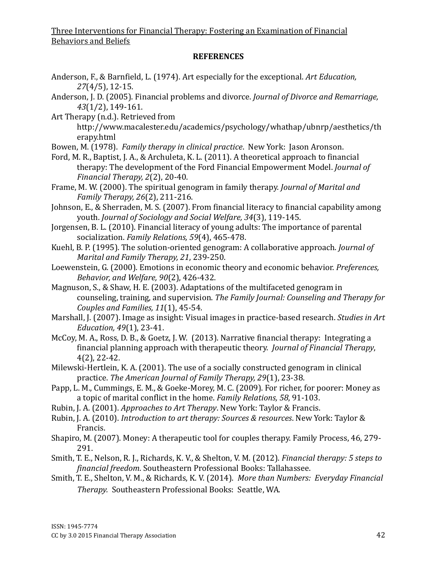## **REFERENCES**

- Anderson, F., & Barnfield, L. (1974). Art especially for the exceptional. Art Education, 27(4/5), 12-15.
- Anderson, J. D. (2005). Financial problems and divorce. Journal of Divorce and Remarriage, 43(1/2), 149-161.
- Art Therapy (n.d.). Retrieved from

http://www.macalester.edu/academics/psychology/whathap/ubnrp/aesthetics/th erapy.html

- Bowen, M. (1978). Family therapy in clinical practice. New York: Jason Aronson.
- Ford, M. R., Baptist, J. A., & Archuleta, K. L. (2011). A theoretical approach to financial therapy: The development of the Ford Financial Empowerment Model. Journal of Financial Therapy, 2(2), 20-40.
- Frame, M. W. (2000). The spiritual genogram in family therapy. Journal of Marital and Family Therapy, 26(2), 211-216.
- Johnson, E., & Sherraden, M. S. (2007). From financial literacy to financial capability among youth. Journal of Sociology and Social Welfare, 34(3), 119-145.
- Jorgensen, B. L. (2010). Financial literacy of young adults: The importance of parental socialization. Family Relations, 59(4), 465-478.
- Kuehl, B. P. (1995). The solution-oriented genogram: A collaborative approach. Journal of Marital and Family Therapy, 21, 239-250.
- Loewenstein, G. (2000). Emotions in economic theory and economic behavior. Preferences, Behavior, and Welfare, 90(2), 426-432.
- Magnuson, S., & Shaw, H. E. (2003). Adaptations of the multifaceted genogram in counseling, training, and supervision. The Family Journal: Counseling and Therapy for Couples and Families, 11(1), 45-54.
- Marshall, J. (2007). Image as insight: Visual images in practice-based research. Studies in Art Education, 49(1), 23-41.
- McCoy, M. A., Ross, D. B., & Goetz, J. W. (2013). Narrative financial therapy: Integrating a financial planning approach with therapeutic theory. Journal of Financial Therapy, 4(2), 22-42.
- Milewski-Hertlein, K. A. (2001). The use of a socially constructed genogram in clinical practice. The American Journal of Family Therapy, 29(1), 23-38.
- Papp, L. M., Cummings, E. M., & Goeke-Morey, M. C. (2009). For richer, for poorer: Money as a topic of marital conflict in the home. Family Relations, 58, 91-103.
- Rubin, J. A. (2001). Approaches to Art Therapy. New York: Taylor & Francis.
- Rubin, J. A. (2010). Introduction to art therapy: Sources & resources. New York: Taylor & Francis.
- Shapiro, M. (2007). Money: A therapeutic tool for couples therapy. Family Process, 46, 279- 291.
- Smith, T. E., Nelson, R. J., Richards, K. V., & Shelton, V. M. (2012). Financial therapy: 5 steps to financial freedom. Southeastern Professional Books: Tallahassee.
- Smith, T. E., Shelton, V. M., & Richards, K. V. (2014). More than Numbers: Everyday Financial Therapy. Southeastern Professional Books: Seattle, WA.